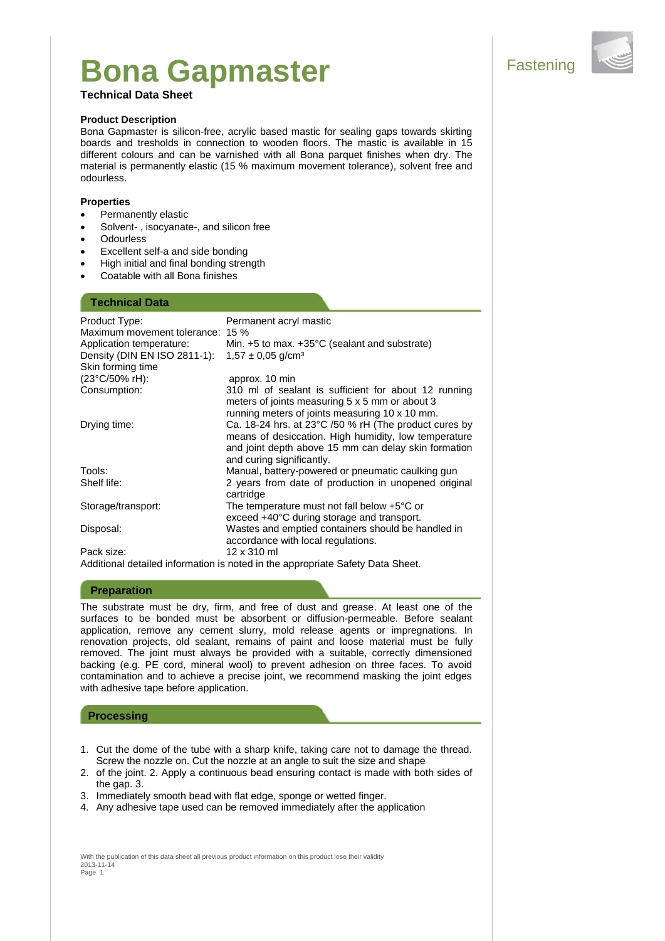# **Bona Gapmaster Sepand Sepand Sepand Sepand Sepand Sepand Sepand Sepand Sepand Sepand Sepand Sepand Sepand Sepand Sepand Sepand Sepand Sepand Sepand Sepand Sepand Sepand Sepand Sepand Sepand Sepand Sepand Sepand Sepand Sep**

## **Technical Data Sheet**

### **Product Description**

Bona Gapmaster is silicon-free, acrylic based mastic for sealing gaps towards skirting boards and tresholds in connection to wooden floors. The mastic is available in 15 different colours and can be varnished with all Bona parquet finishes when dry. The material is permanently elastic (15 % maximum movement tolerance), solvent free and odourless.

#### **Properties**

- Permanently elastic
- Solvent- , isocyanate-, and silicon free
- **Odourless**
- Excellent self-a and side bonding
- High initial and final bonding strength
- Coatable with all Bona finishes

# **Technical Data**

| Product Type:<br>Maximum movement tolerance: 15 % | Permanent acryl mastic                                                                                                                                                                                       |
|---------------------------------------------------|--------------------------------------------------------------------------------------------------------------------------------------------------------------------------------------------------------------|
| Application temperature:                          | Min. $+5$ to max. $+35^{\circ}$ C (sealant and substrate)                                                                                                                                                    |
| Density (DIN EN ISO 2811-1):                      | $1.57 \pm 0.05$ g/cm <sup>3</sup>                                                                                                                                                                            |
| Skin forming time                                 |                                                                                                                                                                                                              |
| (23°C/50% rH):                                    | approx. 10 min                                                                                                                                                                                               |
| Consumption:                                      | 310 ml of sealant is sufficient for about 12 running<br>meters of joints measuring 5 x 5 mm or about 3<br>running meters of joints measuring 10 x 10 mm.                                                     |
| Drying time:                                      | Ca. 18-24 hrs. at 23 $\degree$ C /50 % rH (The product cures by<br>means of desiccation. High humidity, low temperature<br>and joint depth above 15 mm can delay skin formation<br>and curing significantly. |
| Tools:                                            | Manual, battery-powered or pneumatic caulking gun                                                                                                                                                            |
| Shelf life:                                       | 2 years from date of production in unopened original<br>cartridge                                                                                                                                            |
| Storage/transport:                                | The temperature must not fall below $+5^{\circ}$ C or<br>exceed +40°C during storage and transport.                                                                                                          |
| Disposal:                                         | Wastes and emptied containers should be handled in<br>accordance with local regulations.                                                                                                                     |
| Pack size:                                        | 12 x 310 ml                                                                                                                                                                                                  |
| .                                                 |                                                                                                                                                                                                              |

Additional detailed information is noted in the appropriate Safety Data Sheet.

### **Preparation**

The substrate must be dry, firm, and free of dust and grease. At least one of the surfaces to be bonded must be absorbent or diffusion-permeable. Before sealant application, remove any cement slurry, mold release agents or impregnations. In renovation projects, old sealant, remains of paint and loose material must be fully removed. The joint must always be provided with a suitable, correctly dimensioned backing (e.g. PE cord, mineral wool) to prevent adhesion on three faces. To avoid contamination and to achieve a precise joint, we recommend masking the joint edges with adhesive tape before application.

## **Processing**

- 1. Cut the dome of the tube with a sharp knife, taking care not to damage the thread. Screw the nozzle on. Cut the nozzle at an angle to suit the size and shape
- 2. of the joint. 2. Apply a continuous bead ensuring contact is made with both sides of the gap. 3.
- 3. Immediately smooth bead with flat edge, sponge or wetted finger.
- 4. Any adhesive tape used can be removed immediately after the application

With the publication of this data sheet all previous product information on this product lose their validity 2013-11-14 Page 1